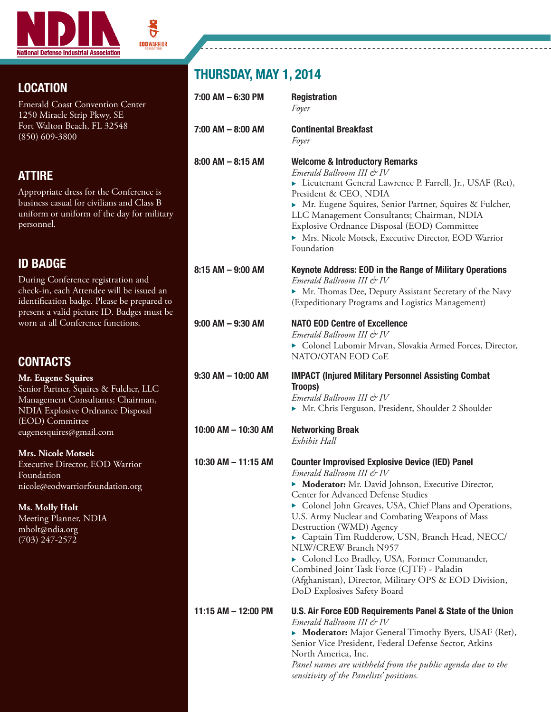

ნ

### LOCATION

Emerald Coast Convention Center 1250 Miracle Strip Pkwy, SE Fort Walton Beach, FL 32548 (850) 609-3800

#### ATTIRE

Appropriate dress for the Conference is business casual for civilians and Class B uniform or uniform of the day for military personnel.

## ID BADGE

During Conference registration and check-in, each Attendee will be issued an identification badge. Please be prepared to present a valid picture ID. Badges must be worn at all Conference functions.

#### **CONTACTS**

#### **Troops**) *Emerald Ballroom III & IV*  ▶ Mr. Chris Ferguson, President, Shoulder 2 Shoulder 10:00 AM – 10:30 AM Networking Break *Exhibit Hall* 10:30 AM – 11:15 AM Counter Improvised Explosive Device (IED) Panel *Emerald Ballroom III & IV*  $\blacktriangleright$  **Moderator:** Mr. David Johnson, Executive Director, Center for Advanced Defense Studies U.S. Army Nuclear and Combating Weapons of Mass Destruction (WMD) Agency NLW/CREW Branch N957  $\blacktriangleright$  Colonel Leo Bradley, USA, Former Commander, Combined Joint Task Force (CJTF) - Paladin DoD Explosives Safety Board *Emerald Ballroom III & IV* Senior Vice President, Federal Defense Sector, Atkins North America, Inc.  *sensitivity of the Panelists' positions.* **Mr. Eugene Squires**  Senior Partner, Squires & Fulcher, LLC Management Consultants; Chairman, NDIA Explosive Ordnance Disposal (EOD) Committee eugenesquires@gmail.com **Mrs. Nicole Motsek** Executive Director, EOD Warrior Foundation nicole@eodwarriorfoundation.org **Ms. Molly Holt** Meeting Planner, NDIA mholt@ndia.org (703) 247-2572

# THURSDAY, MAY 1, 2014

| 7:00 AM - 6:30 PM      | <b>Registration</b><br>Foyer                                                                                                                                                                                                                                                                                                                                                                                                                                                                                                                                                             |
|------------------------|------------------------------------------------------------------------------------------------------------------------------------------------------------------------------------------------------------------------------------------------------------------------------------------------------------------------------------------------------------------------------------------------------------------------------------------------------------------------------------------------------------------------------------------------------------------------------------------|
| 7:00 AM - 8:00 AM      | <b>Continental Breakfast</b><br>Foyer                                                                                                                                                                                                                                                                                                                                                                                                                                                                                                                                                    |
| 8:00 AM – 8:15 AM      | <b>Welcome &amp; Introductory Remarks</b><br>Emerald Ballroom III & IV<br>Lieutenant General Lawrence P. Farrell, Jr., USAF (Ret),<br>President & CEO, NDIA<br>> Mr. Eugene Squires, Senior Partner, Squires & Fulcher,<br>LLC Management Consultants; Chairman, NDIA<br>Explosive Ordnance Disposal (EOD) Committee<br>• Mrs. Nicole Motsek, Executive Director, EOD Warrior<br>Foundation                                                                                                                                                                                              |
| 8:15 AM - 9:00 AM      | <b>Keynote Address: EOD in the Range of Military Operations</b><br>Emerald Ballroom III & IV                                                                                                                                                                                                                                                                                                                                                                                                                                                                                             |
|                        | Mr. Thomas Dee, Deputy Assistant Secretary of the Navy<br>(Expeditionary Programs and Logistics Management)                                                                                                                                                                                                                                                                                                                                                                                                                                                                              |
| 9:00 AM - 9:30 AM      | <b>NATO EOD Centre of Excellence</b><br>Emerald Ballroom III & IV<br>Colonel Lubomir Mrvan, Slovakia Armed Forces, Director,<br>NATO/OTAN EOD CoE                                                                                                                                                                                                                                                                                                                                                                                                                                        |
| $9:30$ AM $-$ 10:00 AM | <b>IMPACT (Injured Military Personnel Assisting Combat</b><br>Troops)<br>Emerald Ballroom III & IV<br>• Mr. Chris Ferguson, President, Shoulder 2 Shoulder                                                                                                                                                                                                                                                                                                                                                                                                                               |
| 10:00 AM - 10:30 AM    | <b>Networking Break</b><br>Exhibit Hall                                                                                                                                                                                                                                                                                                                                                                                                                                                                                                                                                  |
| 10:30 AM - 11:15 AM    | <b>Counter Improvised Explosive Device (IED) Panel</b><br>Emerald Ballroom III & IV<br>• Moderator: Mr. David Johnson, Executive Director,<br>Center for Advanced Defense Studies<br>Colonel John Greaves, USA, Chief Plans and Operations,<br>U.S. Army Nuclear and Combating Weapons of Mass<br>Destruction (WMD) Agency<br>Captain Tim Rudderow, USN, Branch Head, NECC/<br>NLW/CREW Branch N957<br>Colonel Leo Bradley, USA, Former Commander,<br>Combined Joint Task Force (CJTF) - Paladin<br>(Afghanistan), Director, Military OPS & EOD Division,<br>DoD Explosives Safety Board |
| 11:15 AM - 12:00 PM    | U.S. Air Force EOD Requirements Panel & State of the Union<br>Emerald Ballroom III & IV<br>• Moderator: Major General Timothy Byers, USAF (Ret),<br>Senior Vice President, Federal Defense Sector, Atkins<br>North America, Inc.<br>Panel names are withheld from the public agenda due to the                                                                                                                                                                                                                                                                                           |